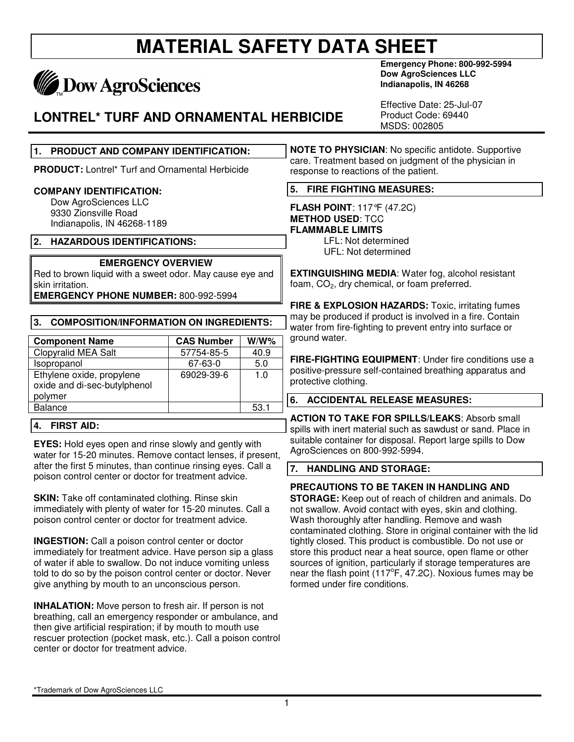# **May Dow AgroSciences**

### **LONTREL\* TURF AND ORNAMENTAL HERBICIDE**

**Emergency Phone: 800-992-5994 Dow AgroSciences LLC Indianapolis, IN 46268** 

Effective Date: 25-Jul-07 Product Code: 69440 MSDS: 002805

#### **1. PRODUCT AND COMPANY IDENTIFICATION:**

**PRODUCT:** Lontrel\* Turf and Ornamental Herbicide

#### **COMPANY IDENTIFICATION:**

 Dow AgroSciences LLC 9330 Zionsville Road Indianapolis, IN 46268-1189

#### **2. HAZARDOUS IDENTIFICATIONS:**

#### **EMERGENCY OVERVIEW**

Red to brown liquid with a sweet odor. May cause eye and skin irritation.

**EMERGENCY PHONE NUMBER:** 800-992-5994

#### **3. COMPOSITION/INFORMATION ON INGREDIENTS:**

| <b>Component Name</b>                                                | <b>CAS Number</b> | $W/W$ % |
|----------------------------------------------------------------------|-------------------|---------|
| <b>Clopyralid MEA Salt</b>                                           | 57754-85-5        | 40.9    |
| Isopropanol                                                          | 67-63-0           | 5.0     |
| Ethylene oxide, propylene<br>oxide and di-sec-butylphenol<br>polymer | 69029-39-6        | 1.0     |
| <b>Balance</b>                                                       |                   | 53.1    |

#### **4. FIRST AID:**

**EYES:** Hold eyes open and rinse slowly and gently with water for 15-20 minutes. Remove contact lenses, if present, after the first 5 minutes, than continue rinsing eyes. Call a poison control center or doctor for treatment advice.

**SKIN:** Take off contaminated clothing. Rinse skin immediately with plenty of water for 15-20 minutes. Call a poison control center or doctor for treatment advice.

**INGESTION:** Call a poison control center or doctor immediately for treatment advice. Have person sip a glass of water if able to swallow. Do not induce vomiting unless told to do so by the poison control center or doctor. Never give anything by mouth to an unconscious person.

**INHALATION:** Move person to fresh air. If person is not breathing, call an emergency responder or ambulance, and then give artificial respiration; if by mouth to mouth use rescuer protection (pocket mask, etc.). Call a poison control center or doctor for treatment advice.

**NOTE TO PHYSICIAN**: No specific antidote. Supportive care. Treatment based on judgment of the physician in response to reactions of the patient.

#### **5. FIRE FIGHTING MEASURES:**

**FLASH POINT**: 117°F (47.2C) **METHOD USED**: TCC **FLAMMABLE LIMITS** LFL: Not determined

UFL: Not determined

**EXTINGUISHING MEDIA**: Water fog, alcohol resistant foam, CO<sub>2</sub>, dry chemical, or foam preferred.

**FIRE & EXPLOSION HAZARDS:** Toxic, irritating fumes may be produced if product is involved in a fire. Contain water from fire-fighting to prevent entry into surface or ground water.

**FIRE-FIGHTING EQUIPMENT**: Under fire conditions use a positive-pressure self-contained breathing apparatus and protective clothing.

#### **6. ACCIDENTAL RELEASE MEASURES:**

**ACTION TO TAKE FOR SPILLS/LEAKS**: Absorb small spills with inert material such as sawdust or sand. Place in suitable container for disposal. Report large spills to Dow AgroSciences on 800-992-5994.

#### **7. HANDLING AND STORAGE:**

#### **PRECAUTIONS TO BE TAKEN IN HANDLING AND**

**STORAGE:** Keep out of reach of children and animals. Do not swallow. Avoid contact with eyes, skin and clothing. Wash thoroughly after handling. Remove and wash contaminated clothing. Store in original container with the lid tightly closed. This product is combustible. Do not use or store this product near a heat source, open flame or other sources of ignition, particularly if storage temperatures are near the flash point (117°F, 47.2C). Noxious fumes may be formed under fire conditions.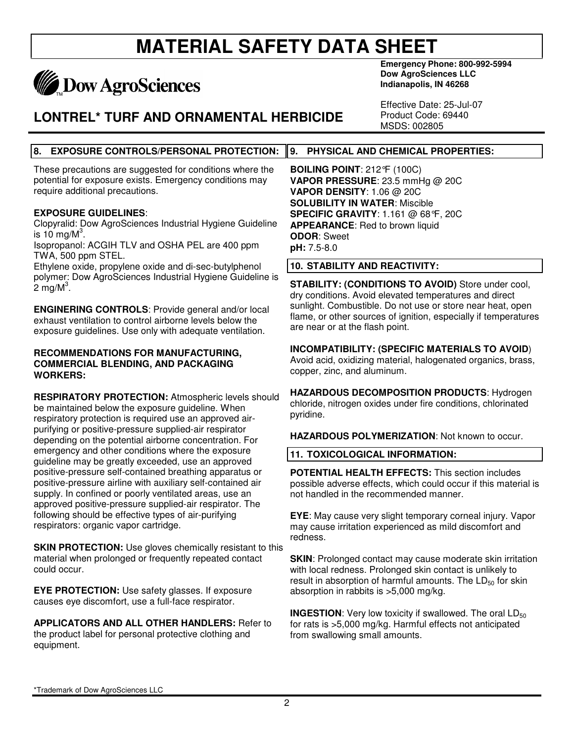# **May Dow AgroSciences**

### **LONTREL\* TURF AND ORNAMENTAL HERBICIDE**

**Emergency Phone: 800-992-5994 Dow AgroSciences LLC Indianapolis, IN 46268** 

Effective Date: 25-Jul-07 Product Code: 69440 MSDS: 002805

#### **8. EXPOSURE CONTROLS/PERSONAL PROTECTION: 9. PHYSICAL AND CHEMICAL PROPERTIES:**

These precautions are suggested for conditions where the potential for exposure exists. Emergency conditions may require additional precautions.

#### **EXPOSURE GUIDELINES**:

Clopyralid: Dow AgroSciences Industrial Hygiene Guideline is 10 mg/ $M^3$ .

Isopropanol: ACGIH TLV and OSHA PEL are 400 ppm TWA, 500 ppm STEL.

Ethylene oxide, propylene oxide and di-sec-butylphenol polymer: Dow AgroSciences Industrial Hygiene Guideline is  $2 \text{ mg/M}^3$ .

**ENGINERING CONTROLS**: Provide general and/or local exhaust ventilation to control airborne levels below the exposure guidelines. Use only with adequate ventilation.

#### **RECOMMENDATIONS FOR MANUFACTURING, COMMERCIAL BLENDING, AND PACKAGING WORKERS:**

**RESPIRATORY PROTECTION:** Atmospheric levels should be maintained below the exposure guideline. When respiratory protection is required use an approved airpurifying or positive-pressure supplied-air respirator depending on the potential airborne concentration. For emergency and other conditions where the exposure guideline may be greatly exceeded, use an approved positive-pressure self-contained breathing apparatus or positive-pressure airline with auxiliary self-contained air supply. In confined or poorly ventilated areas, use an approved positive-pressure supplied-air respirator. The following should be effective types of air-purifying respirators: organic vapor cartridge.

**SKIN PROTECTION:** Use gloves chemically resistant to this material when prolonged or frequently repeated contact could occur.

**EYE PROTECTION:** Use safety glasses. If exposure causes eye discomfort, use a full-face respirator.

**APPLICATORS AND ALL OTHER HANDLERS:** Refer to the product label for personal protective clothing and equipment.

**BOILING POINT**: 212°F (100C) **VAPOR PRESSURE**: 23.5 mmHg @ 20C **VAPOR DENSITY**: 1.06 @ 20C **SOLUBILITY IN WATER**: Miscible **SPECIFIC GRAVITY**: 1.161 @ 68°F, 20C **APPEARANCE**: Red to brown liquid **ODOR**: Sweet **pH:** 7.5-8.0

#### **10. STABILITY AND REACTIVITY:**

**STABILITY: (CONDITIONS TO AVOID)** Store under cool, dry conditions. Avoid elevated temperatures and direct sunlight. Combustible. Do not use or store near heat, open flame, or other sources of ignition, especially if temperatures are near or at the flash point.

**INCOMPATIBILITY: (SPECIFIC MATERIALS TO AVOID**) Avoid acid, oxidizing material, halogenated organics, brass,

copper, zinc, and aluminum. **HAZARDOUS DECOMPOSITION PRODUCTS**: Hydrogen chloride, nitrogen oxides under fire conditions, chlorinated

**HAZARDOUS POLYMERIZATION**: Not known to occur.

#### **11. TOXICOLOGICAL INFORMATION:**

pyridine.

**POTENTIAL HEALTH EFFECTS:** This section includes possible adverse effects, which could occur if this material is not handled in the recommended manner.

**EYE**: May cause very slight temporary corneal injury. Vapor may cause irritation experienced as mild discomfort and redness.

**SKIN:** Prolonged contact may cause moderate skin irritation with local redness. Prolonged skin contact is unlikely to result in absorption of harmful amounts. The  $LD_{50}$  for skin absorption in rabbits is >5,000 mg/kg.

**INGESTION:** Very low toxicity if swallowed. The oral LD<sub>50</sub> for rats is >5,000 mg/kg. Harmful effects not anticipated from swallowing small amounts.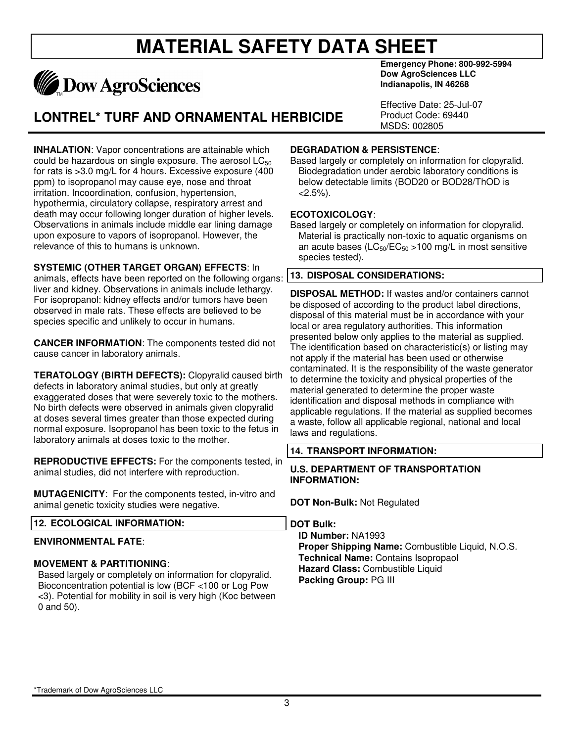

### **LONTREL\* TURF AND ORNAMENTAL HERBICIDE**

**INHALATION**: Vapor concentrations are attainable which could be hazardous on single exposure. The aerosol  $LC_{50}$ for rats is >3.0 mg/L for 4 hours. Excessive exposure (400 ppm) to isopropanol may cause eye, nose and throat irritation. Incoordination, confusion, hypertension, hypothermia, circulatory collapse, respiratory arrest and death may occur following longer duration of higher levels. Observations in animals include middle ear lining damage upon exposure to vapors of isopropanol. However, the relevance of this to humans is unknown.

**SYSTEMIC (OTHER TARGET ORGAN) EFFECTS**: In animals, effects have been reported on the following organs: liver and kidney. Observations in animals include lethargy. For isopropanol: kidney effects and/or tumors have been observed in male rats. These effects are believed to be species specific and unlikely to occur in humans.

**CANCER INFORMATION**: The components tested did not cause cancer in laboratory animals.

**TERATOLOGY (BIRTH DEFECTS):** Clopyralid caused birth defects in laboratory animal studies, but only at greatly exaggerated doses that were severely toxic to the mothers. No birth defects were observed in animals given clopyralid at doses several times greater than those expected during normal exposure. Isopropanol has been toxic to the fetus in laboratory animals at doses toxic to the mother.

**REPRODUCTIVE EFFECTS:** For the components tested, in animal studies, did not interfere with reproduction.

**MUTAGENICITY**: For the components tested, in-vitro and animal genetic toxicity studies were negative.

#### **12. ECOLOGICAL INFORMATION:**

#### **ENVIRONMENTAL FATE**:

#### **MOVEMENT & PARTITIONING**:

Based largely or completely on information for clopyralid. Bioconcentration potential is low (BCF <100 or Log Pow <3). Potential for mobility in soil is very high (Koc between 0 and 50).

**Emergency Phone: 800-992-5994 Dow AgroSciences LLC Indianapolis, IN 46268** 

Effective Date: 25-Jul-07 Product Code: 69440 MSDS: 002805

#### **DEGRADATION & PERSISTENCE**:

Based largely or completely on information for clopyralid. Biodegradation under aerobic laboratory conditions is below detectable limits (BOD20 or BOD28/ThOD is  $< 2.5\%$ ).

#### **ECOTOXICOLOGY**:

Based largely or completely on information for clopyralid. Material is practically non-toxic to aquatic organisms on an acute bases ( $LC_{50}/EC_{50}$  >100 mg/L in most sensitive species tested).

#### **13. DISPOSAL CONSIDERATIONS:**

**DISPOSAL METHOD:** If wastes and/or containers cannot be disposed of according to the product label directions, disposal of this material must be in accordance with your local or area regulatory authorities. This information presented below only applies to the material as supplied. The identification based on characteristic(s) or listing may not apply if the material has been used or otherwise contaminated. It is the responsibility of the waste generator to determine the toxicity and physical properties of the material generated to determine the proper waste identification and disposal methods in compliance with applicable regulations. If the material as supplied becomes a waste, follow all applicable regional, national and local laws and regulations.

#### **14. TRANSPORT INFORMATION:**

#### **U.S. DEPARTMENT OF TRANSPORTATION INFORMATION:**

**DOT Non-Bulk:** Not Regulated

**DOT Bulk:** 

**ID Number:** NA1993 **Proper Shipping Name:** Combustible Liquid, N.O.S. **Technical Name:** Contains Isopropaol **Hazard Class:** Combustible Liquid **Packing Group:** PG III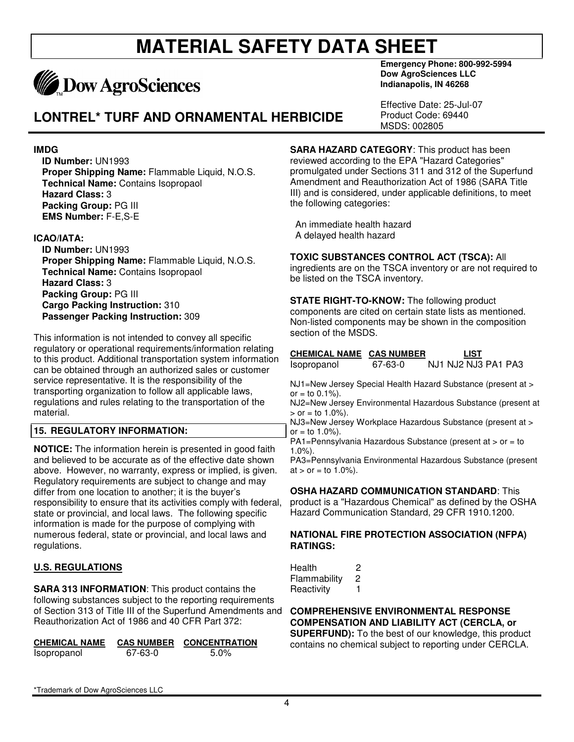# **MADOW AgroSciences**

### **LONTREL\* TURF AND ORNAMENTAL HERBICIDE**

**IMDG** 

**ID Number:** UN1993 **Proper Shipping Name:** Flammable Liquid, N.O.S. **Technical Name:** Contains Isopropaol **Hazard Class:** 3 **Packing Group:** PG III **EMS Number:** F-E,S-E

#### **ICAO/IATA:**

**ID Number:** UN1993 **Proper Shipping Name:** Flammable Liquid, N.O.S. **Technical Name:** Contains Isopropaol **Hazard Class:** 3 **Packing Group:** PG III **Cargo Packing Instruction:** 310 **Passenger Packing Instruction:** 309

This information is not intended to convey all specific regulatory or operational requirements/information relating to this product. Additional transportation system information can be obtained through an authorized sales or customer service representative. It is the responsibility of the transporting organization to follow all applicable laws, regulations and rules relating to the transportation of the material.

#### **15. REGULATORY INFORMATION:**

**NOTICE:** The information herein is presented in good faith and believed to be accurate as of the effective date shown above. However, no warranty, express or implied, is given. Regulatory requirements are subject to change and may differ from one location to another; it is the buyer's responsibility to ensure that its activities comply with federal, state or provincial, and local laws. The following specific information is made for the purpose of complying with numerous federal, state or provincial, and local laws and regulations.

#### **U.S. REGULATIONS**

**SARA 313 INFORMATION**: This product contains the following substances subject to the reporting requirements of Section 313 of Title III of the Superfund Amendments and Reauthorization Act of 1986 and 40 CFR Part 372:

| <b>CHEMICAL NAME</b> | <b>CAS NUMBER</b> | <b>CONCENTRATION</b> |
|----------------------|-------------------|----------------------|
| Isopropanol          | 67-63-0           | $5.0\%$              |

**Emergency Phone: 800-992-5994 Dow AgroSciences LLC Indianapolis, IN 46268** 

Effective Date: 25-Jul-07 Product Code: 69440 MSDS: 002805

**SARA HAZARD CATEGORY**: This product has been reviewed according to the EPA "Hazard Categories" promulgated under Sections 311 and 312 of the Superfund Amendment and Reauthorization Act of 1986 (SARA Title III) and is considered, under applicable definitions, to meet the following categories:

 An immediate health hazard A delayed health hazard

#### **TOXIC SUBSTANCES CONTROL ACT (TSCA):** All

ingredients are on the TSCA inventory or are not required to be listed on the TSCA inventory.

**STATE RIGHT-TO-KNOW:** The following product components are cited on certain state lists as mentioned. Non-listed components may be shown in the composition section of the MSDS.

#### **CHEMICAL NAME CAS NUMBER LIST**

Isopropanol 67-63-0 NJ1 NJ2 NJ3 PA1 PA3

NJ1=New Jersey Special Health Hazard Substance (present at >  $or = to 0.1\%$ ).

NJ2=New Jersey Environmental Hazardous Substance (present at  $>$  or = to 1.0%).

NJ3=New Jersey Workplace Hazardous Substance (present at > or = to  $1.0%$ ).

PA1=Pennsylvania Hazardous Substance (present at > or = to 1.0%).

PA3=Pennsylvania Environmental Hazardous Substance (present  $at > or = to 1.0%$ ).

#### **OSHA HAZARD COMMUNICATION STANDARD**: This

product is a "Hazardous Chemical" as defined by the OSHA Hazard Communication Standard, 29 CFR 1910.1200.

#### **NATIONAL FIRE PROTECTION ASSOCIATION (NFPA) RATINGS:**

Health 2 Flammability 2 Reactivity 1

**COMPREHENSIVE ENVIRONMENTAL RESPONSE COMPENSATION AND LIABILITY ACT (CERCLA, or SUPERFUND):** To the best of our knowledge, this product

contains no chemical subject to reporting under CERCLA.